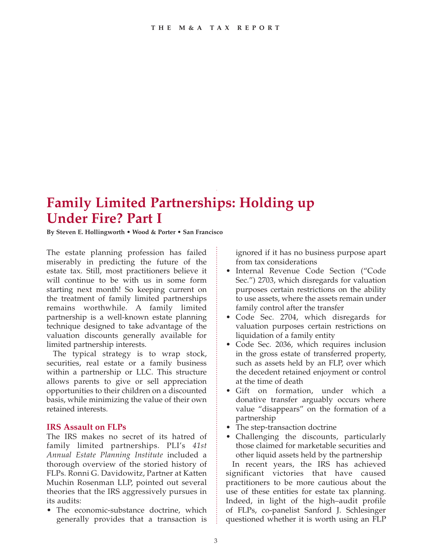## **Family Limited Partnerships: Holding up Under Fire? Part I**

**By Steven E. Hollingworth • Wood & Porter • San Francisco**

The estate planning profession has failed miserably in predicting the future of the estate tax. Still, most practitioners believe it will continue to be with us in some form starting next month! So keeping current on the treatment of family limited partnerships remains worthwhile. A family limited partnership is a well-known estate planning technique designed to take advantage of the valuation discounts generally available for limited partnership interests.

The typical strategy is to wrap stock, securities, real estate or a family business within a partnership or LLC. This structure allows parents to give or sell appreciation opportunities to their children on a discounted basis, while minimizing the value of their own retained interests.

## **IRS Assault on FLPs**

The IRS makes no secret of its hatred of family limited partnerships. PLI's *41st Annual Estate Planning Institute* included a thorough overview of the storied history of FLPs. Ronni G. Davidowitz, Partner at Katten Muchin Rosenman LLP, pointed out several theories that the IRS aggressively pursues in its audits:

• The economic-substance doctrine, which generally provides that a transaction is

ignored if it has no business purpose apart from tax considerations

- Internal Revenue Code Section ("Code Sec.") 2703, which disregards for valuation purposes certain restrictions on the ability to use assets, where the assets remain under family control after the transfer
- Code Sec. 2704, which disregards for valuation purposes certain restrictions on liquidation of a family entity
- Code Sec. 2036, which requires inclusion in the gross estate of transferred property, such as assets held by an FLP, over which the decedent retained enjoyment or control at the time of death
- • Gift on formation, under which a donative transfer arguably occurs where value "disappears" on the formation of a partnership
- The step-transaction doctrine
- • Challenging the discounts, particularly those claimed for marketable securities and other liquid assets held by the partnership

In recent years, the IRS has achieved significant victories that have caused practitioners to be more cautious about the use of these entities for estate tax planning. Indeed, in light of the high–audit profile of FLPs, co-panelist Sanford J. Schlesinger questioned whether it is worth using an FLP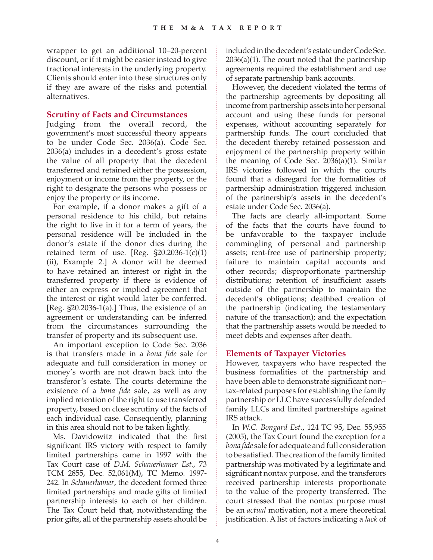wrapper to get an additional 10–20-percent discount, or if it might be easier instead to give fractional interests in the underlying property. Clients should enter into these structures only if they are aware of the risks and potential alternatives.

## **Scrutiny of Facts and Circumstances**

Judging from the overall record, the government's most successful theory appears to be under Code Sec. 2036(a). Code Sec. 2036(a) includes in a decedent's gross estate the value of all property that the decedent transferred and retained either the possession, enjoyment or income from the property, or the right to designate the persons who possess or enjoy the property or its income.

For example, if a donor makes a gift of a personal residence to his child, but retains the right to live in it for a term of years, the personal residence will be included in the donor's estate if the donor dies during the retained term of use. [Reg.  $\S20.2036-1(c)(1)$ ] (ii), Example 2.] A donor will be deemed to have retained an interest or right in the transferred property if there is evidence of either an express or implied agreement that the interest or right would later be conferred. [Reg.  $\S20.2036-1$ (a).] Thus, the existence of an agreement or understanding can be inferred from the circumstances surrounding the transfer of property and its subsequent use.

An important exception to Code Sec. 2036 is that transfers made in a *bona fide* sale for adequate and full consideration in money or money's worth are not drawn back into the transferor's estate. The courts determine the existence of a *bona fide* sale, as well as any implied retention of the right to use transferred property, based on close scrutiny of the facts of each individual case. Consequently, planning in this area should not to be taken lightly.

Ms. Davidowitz indicated that the first significant IRS victory with respect to family limited partnerships came in 1997 with the Tax Court case of *D.M. Schauerhamer Est.,* 73 TCM 2855, Dec. 52,061(M), TC Memo. 1997- 242. In *Schauerhamer*, the decedent formed three limited partnerships and made gifts of limited partnership interests to each of her children. The Tax Court held that, notwithstanding the prior gifts, all of the partnership assets should be included in the decedent's estate under Code Sec. 2036(a)(1). The court noted that the partnership agreements required the establishment and use of separate partnership bank accounts.

However, the decedent violated the terms of the partnership agreements by depositing all income from partnership assets into her personal account and using these funds for personal expenses, without accounting separately for partnership funds. The court concluded that the decedent thereby retained possession and enjoyment of the partnership property within the meaning of Code Sec. 2036(a)(1). Similar IRS victories followed in which the courts found that a disregard for the formalities of partnership administration triggered inclusion of the partnership's assets in the decedent's estate under Code Sec. 2036(a).

The facts are clearly all-important. Some of the facts that the courts have found to be unfavorable to the taxpayer include commingling of personal and partnership assets; rent-free use of partnership property; failure to maintain capital accounts and other records; disproportionate partnership distributions; retention of insufficient assets outside of the partnership to maintain the decedent's obligations; deathbed creation of the partnership (indicating the testamentary nature of the transaction); and the expectation that the partnership assets would be needed to meet debts and expenses after death.

## **Elements of Taxpayer Victories**

However, taxpayers who have respected the business formalities of the partnership and have been able to demonstrate significant non– tax-related purposes for establishing the family partnership or LLC have successfully defended family LLCs and limited partnerships against IRS attack.

In *W.C. Bongard Est.*, 124 TC 95, Dec. 55,955 (2005), the Tax Court found the exception for a *bona fide* sale for adequate and full consideration to be satisfied. The creation of the family limited partnership was motivated by a legitimate and significant nontax purpose, and the transferors received partnership interests proportionate to the value of the property transferred. The court stressed that the nontax purpose must be an *actual* motivation, not a mere theoretical justification. A list of factors indicating a *lack* of